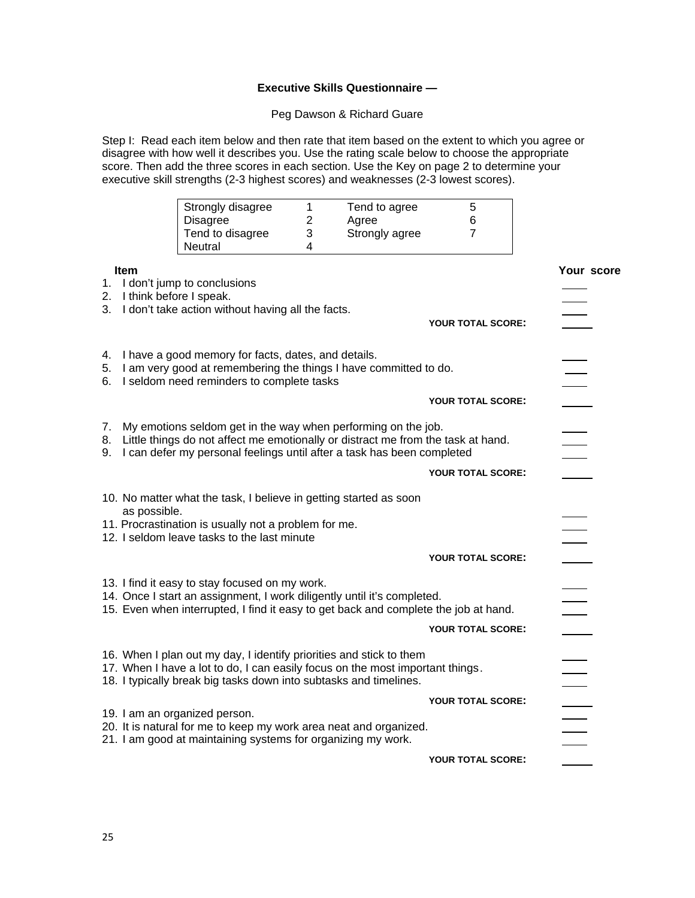## **Executive Skills Questionnaire —**

Peg Dawson & Richard Guare

Step I: Read each item below and then rate that item based on the extent to which you agree or disagree with how well it describes you. Use the rating scale below to choose the appropriate score. Then add the three scores in each section. Use the Key on page 2 to determine your executive skill strengths (2-3 highest scores) and weaknesses (2-3 lowest scores).

|                |                                           | Strongly disagree<br><b>Disagree</b><br>Tend to disagree<br>Neutral                                                                                                                                                         | 1<br>$\overline{2}$<br>3<br>4 | Tend to agree<br>Agree<br>Strongly agree | 5<br>6<br>7              |            |
|----------------|-------------------------------------------|-----------------------------------------------------------------------------------------------------------------------------------------------------------------------------------------------------------------------------|-------------------------------|------------------------------------------|--------------------------|------------|
|                | <b>Item</b><br>2. I think before I speak. | 1. I don't jump to conclusions<br>3. I don't take action without having all the facts.                                                                                                                                      |                               |                                          | YOUR TOTAL SCORE:        | Your score |
| 4.<br>6.       |                                           | I have a good memory for facts, dates, and details.<br>5. I am very good at remembering the things I have committed to do.<br>I seldom need reminders to complete tasks                                                     |                               |                                          |                          |            |
|                |                                           |                                                                                                                                                                                                                             |                               |                                          | YOUR TOTAL SCORE:        |            |
| 7.<br>8.<br>9. |                                           | My emotions seldom get in the way when performing on the job.<br>Little things do not affect me emotionally or distract me from the task at hand.<br>I can defer my personal feelings until after a task has been completed |                               |                                          |                          |            |
|                |                                           |                                                                                                                                                                                                                             |                               |                                          | <b>YOUR TOTAL SCORE:</b> |            |
|                |                                           | 10. No matter what the task, I believe in getting started as soon                                                                                                                                                           |                               |                                          |                          |            |
|                | as possible.                              | 11. Procrastination is usually not a problem for me.<br>12. I seldom leave tasks to the last minute                                                                                                                         |                               |                                          |                          |            |
|                |                                           |                                                                                                                                                                                                                             |                               |                                          | YOUR TOTAL SCORE:        |            |
|                |                                           | 13. I find it easy to stay focused on my work.<br>14. Once I start an assignment, I work diligently until it's completed.<br>15. Even when interrupted, I find it easy to get back and complete the job at hand.            |                               |                                          |                          |            |
|                |                                           |                                                                                                                                                                                                                             |                               |                                          | <b>YOUR TOTAL SCORE:</b> |            |
|                |                                           | 16. When I plan out my day, I identify priorities and stick to them<br>17. When I have a lot to do, I can easily focus on the most important things.<br>18. I typically break big tasks down into subtasks and timelines.   |                               |                                          |                          |            |
|                |                                           |                                                                                                                                                                                                                             |                               |                                          | YOUR TOTAL SCORE:        |            |
|                |                                           | 19. I am an organized person.<br>20. It is natural for me to keep my work area neat and organized.<br>21. I am good at maintaining systems for organizing my work.                                                          |                               |                                          |                          |            |
|                |                                           |                                                                                                                                                                                                                             |                               |                                          | <b>YOUR TOTAL SCORE:</b> |            |